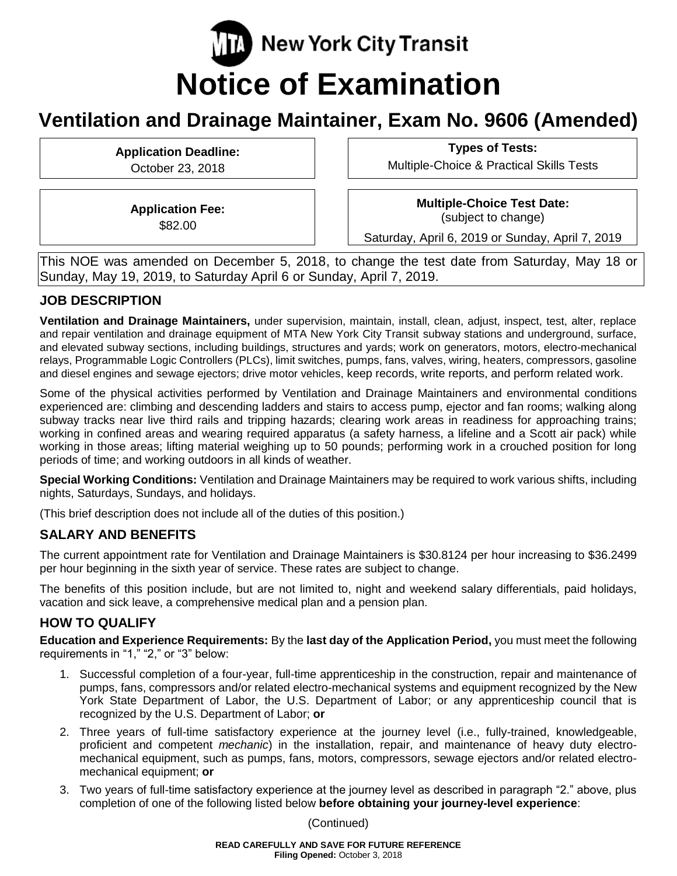# **T.** New York City Transit **Notice of Examination**

## **Ventilation and Drainage Maintainer, Exam No. 9606 (Amended)**

**Application Deadline:** October 23, 2018

**Types of Tests:**

Multiple-Choice & Practical Skills Tests

**Application Fee:** \$82.00

**Multiple-Choice Test Date:** (subject to change)

Saturday, April 6, 2019 or Sunday, April 7, 2019

This NOE was amended on December 5, 2018, to change the test date from Saturday, May 18 or Sunday, May 19, 2019, to Saturday April 6 or Sunday, April 7, 2019.

## **JOB DESCRIPTION**

**Ventilation and Drainage Maintainers,** under supervision, maintain, install, clean, adjust, inspect, test, alter, replace and repair ventilation and drainage equipment of MTA New York City Transit subway stations and underground, surface, and elevated subway sections, including buildings, structures and yards; work on generators, motors, electro-mechanical relays, Programmable Logic Controllers (PLCs), limit switches, pumps, fans, valves, wiring, heaters, compressors, gasoline and diesel engines and sewage ejectors; drive motor vehicles, keep records, write reports, and perform related work.

Some of the physical activities performed by Ventilation and Drainage Maintainers and environmental conditions experienced are: climbing and descending ladders and stairs to access pump, ejector and fan rooms; walking along subway tracks near live third rails and tripping hazards; clearing work areas in readiness for approaching trains; working in confined areas and wearing required apparatus (a safety harness, a lifeline and a Scott air pack) while working in those areas; lifting material weighing up to 50 pounds; performing work in a crouched position for long periods of time; and working outdoors in all kinds of weather.

**Special Working Conditions:** Ventilation and Drainage Maintainers may be required to work various shifts, including nights, Saturdays, Sundays, and holidays.

(This brief description does not include all of the duties of this position.)

## **SALARY AND BENEFITS**

The current appointment rate for Ventilation and Drainage Maintainers is \$30.8124 per hour increasing to \$36.2499 per hour beginning in the sixth year of service. These rates are subject to change.

The benefits of this position include, but are not limited to, night and weekend salary differentials, paid holidays, vacation and sick leave, a comprehensive medical plan and a pension plan.

## **HOW TO QUALIFY**

**Education and Experience Requirements:** By the **last day of the Application Period,** you must meet the following requirements in "1," "2," or "3" below:

- 1. Successful completion of a four-year, full-time apprenticeship in the construction, repair and maintenance of pumps, fans, compressors and/or related electro-mechanical systems and equipment recognized by the New York State Department of Labor, the U.S. Department of Labor; or any apprenticeship council that is recognized by the U.S. Department of Labor; **or**
- 2. Three years of full-time satisfactory experience at the journey level (i.e., fully-trained, knowledgeable, proficient and competent *mechanic*) in the installation, repair, and maintenance of heavy duty electromechanical equipment, such as pumps, fans, motors, compressors, sewage ejectors and/or related electromechanical equipment; **or**
- 3. Two years of full-time satisfactory experience at the journey level as described in paragraph "2." above, plus completion of one of the following listed below **before obtaining your journey-level experience**:

(Continued)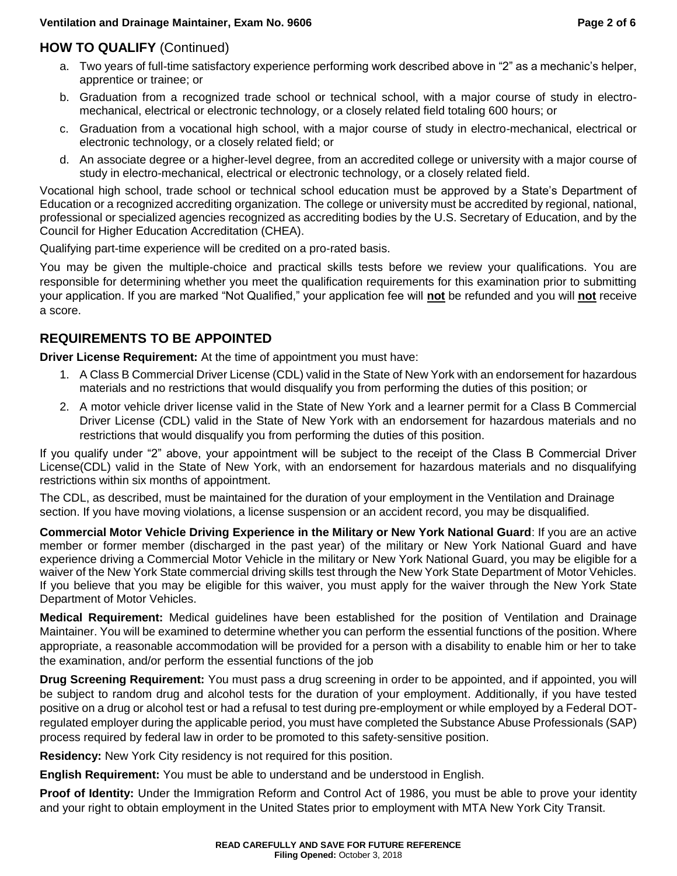## **HOW TO QUALIFY** (Continued)

- a. Two years of full-time satisfactory experience performing work described above in "2" as a mechanic's helper, apprentice or trainee; or
- b. Graduation from a recognized trade school or technical school, with a major course of study in electromechanical, electrical or electronic technology, or a closely related field totaling 600 hours; or
- c. Graduation from a vocational high school, with a major course of study in electro-mechanical, electrical or electronic technology, or a closely related field; or
- d. An associate degree or a higher-level degree, from an accredited college or university with a major course of study in electro-mechanical, electrical or electronic technology, or a closely related field.

Vocational high school, trade school or technical school education must be approved by a State's Department of Education or a recognized accrediting organization. The college or university must be accredited by regional, national, professional or specialized agencies recognized as accrediting bodies by the U.S. Secretary of Education, and by the Council for Higher Education Accreditation (CHEA).

Qualifying part-time experience will be credited on a pro-rated basis.

You may be given the multiple-choice and practical skills tests before we review your qualifications. You are responsible for determining whether you meet the qualification requirements for this examination prior to submitting your application. If you are marked "Not Qualified," your application fee will **not** be refunded and you will **not** receive a score.

## **REQUIREMENTS TO BE APPOINTED**

**Driver License Requirement:** At the time of appointment you must have:

- 1. A Class B Commercial Driver License (CDL) valid in the State of New York with an endorsement for hazardous materials and no restrictions that would disqualify you from performing the duties of this position; or
- 2. A motor vehicle driver license valid in the State of New York and a learner permit for a Class B Commercial Driver License (CDL) valid in the State of New York with an endorsement for hazardous materials and no restrictions that would disqualify you from performing the duties of this position.

If you qualify under "2" above, your appointment will be subject to the receipt of the Class B Commercial Driver License(CDL) valid in the State of New York, with an endorsement for hazardous materials and no disqualifying restrictions within six months of appointment.

The CDL, as described, must be maintained for the duration of your employment in the Ventilation and Drainage section. If you have moving violations, a license suspension or an accident record, you may be disqualified.

**Commercial Motor Vehicle Driving Experience in the Military or New York National Guard**: If you are an active member or former member (discharged in the past year) of the military or New York National Guard and have experience driving a Commercial Motor Vehicle in the military or New York National Guard, you may be eligible for a waiver of the New York State commercial driving skills test through the New York State Department of Motor Vehicles. If you believe that you may be eligible for this waiver, you must apply for the waiver through the New York State Department of Motor Vehicles.

**Medical Requirement:** Medical guidelines have been established for the position of Ventilation and Drainage Maintainer. You will be examined to determine whether you can perform the essential functions of the position. Where appropriate, a reasonable accommodation will be provided for a person with a disability to enable him or her to take the examination, and/or perform the essential functions of the job

**Drug Screening Requirement:** You must pass a drug screening in order to be appointed, and if appointed, you will be subject to random drug and alcohol tests for the duration of your employment. Additionally, if you have tested positive on a drug or alcohol test or had a refusal to test during pre-employment or while employed by a Federal DOTregulated employer during the applicable period, you must have completed the Substance Abuse Professionals (SAP) process required by federal law in order to be promoted to this safety-sensitive position.

**Residency:** New York City residency is not required for this position.

**English Requirement:** You must be able to understand and be understood in English.

**Proof of Identity:** Under the Immigration Reform and Control Act of 1986, you must be able to prove your identity and your right to obtain employment in the United States prior to employment with MTA New York City Transit.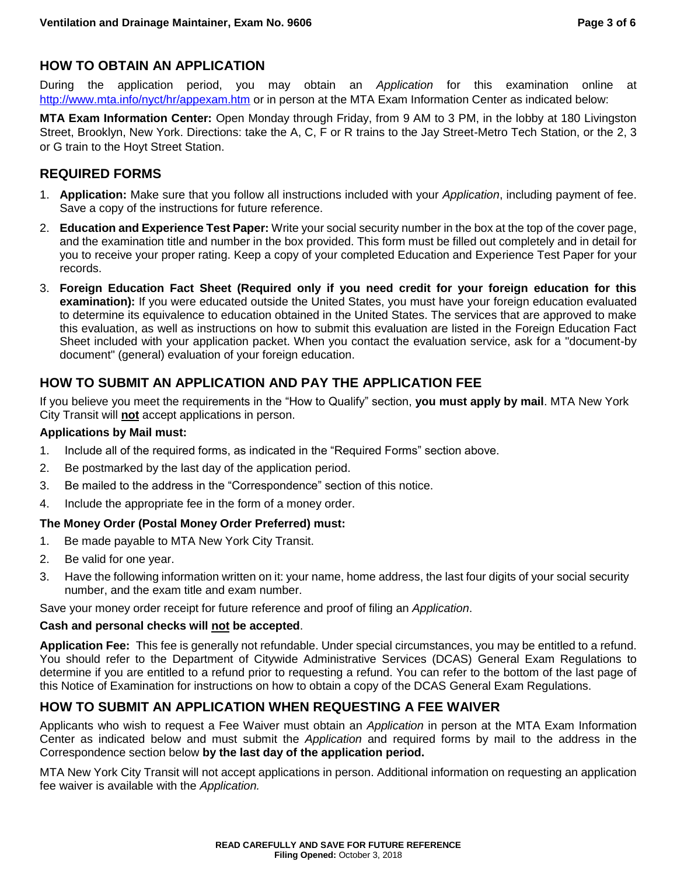## **HOW TO OBTAIN AN APPLICATION**

During the application period, you may obtain an *Application* for this examination online at <http://www.mta.info/nyct/hr/appexam.htm> or in person at the MTA Exam Information Center as indicated below:

**MTA Exam Information Center:** Open Monday through Friday, from 9 AM to 3 PM, in the lobby at 180 Livingston Street, Brooklyn, New York. Directions: take the A, C, F or R trains to the Jay Street-Metro Tech Station, or the 2, 3 or G train to the Hoyt Street Station.

## **REQUIRED FORMS**

- 1. **Application:** Make sure that you follow all instructions included with your *Application*, including payment of fee. Save a copy of the instructions for future reference.
- 2. **Education and Experience Test Paper:** Write your social security number in the box at the top of the cover page, and the examination title and number in the box provided. This form must be filled out completely and in detail for you to receive your proper rating. Keep a copy of your completed Education and Experience Test Paper for your records.
- 3. **Foreign Education Fact Sheet (Required only if you need credit for your foreign education for this examination):** If you were educated outside the United States, you must have your foreign education evaluated to determine its equivalence to education obtained in the United States. The services that are approved to make this evaluation, as well as instructions on how to submit this evaluation are listed in the Foreign Education Fact Sheet included with your application packet. When you contact the evaluation service, ask for a "document-by document" (general) evaluation of your foreign education.

## **HOW TO SUBMIT AN APPLICATION AND PAY THE APPLICATION FEE**

If you believe you meet the requirements in the "How to Qualify" section, **you must apply by mail**. MTA New York City Transit will **not** accept applications in person.

#### **Applications by Mail must:**

- 1. Include all of the required forms, as indicated in the "Required Forms" section above.
- 2. Be postmarked by the last day of the application period.
- 3. Be mailed to the address in the "Correspondence" section of this notice.
- 4. Include the appropriate fee in the form of a money order.

#### **The Money Order (Postal Money Order Preferred) must:**

- 1. Be made payable to MTA New York City Transit.
- 2. Be valid for one year.
- 3. Have the following information written on it: your name, home address, the last four digits of your social security number, and the exam title and exam number.

Save your money order receipt for future reference and proof of filing an *Application*.

#### **Cash and personal checks will not be accepted**.

**Application Fee:** This fee is generally not refundable. Under special circumstances, you may be entitled to a refund. You should refer to the Department of Citywide Administrative Services (DCAS) General Exam Regulations to determine if you are entitled to a refund prior to requesting a refund. You can refer to the bottom of the last page of this Notice of Examination for instructions on how to obtain a copy of the DCAS General Exam Regulations.

## **HOW TO SUBMIT AN APPLICATION WHEN REQUESTING A FEE WAIVER**

Applicants who wish to request a Fee Waiver must obtain an *Application* in person at the MTA Exam Information Center as indicated below and must submit the *Application* and required forms by mail to the address in the Correspondence section below **by the last day of the application period.**

MTA New York City Transit will not accept applications in person. Additional information on requesting an application fee waiver is available with the *Application.*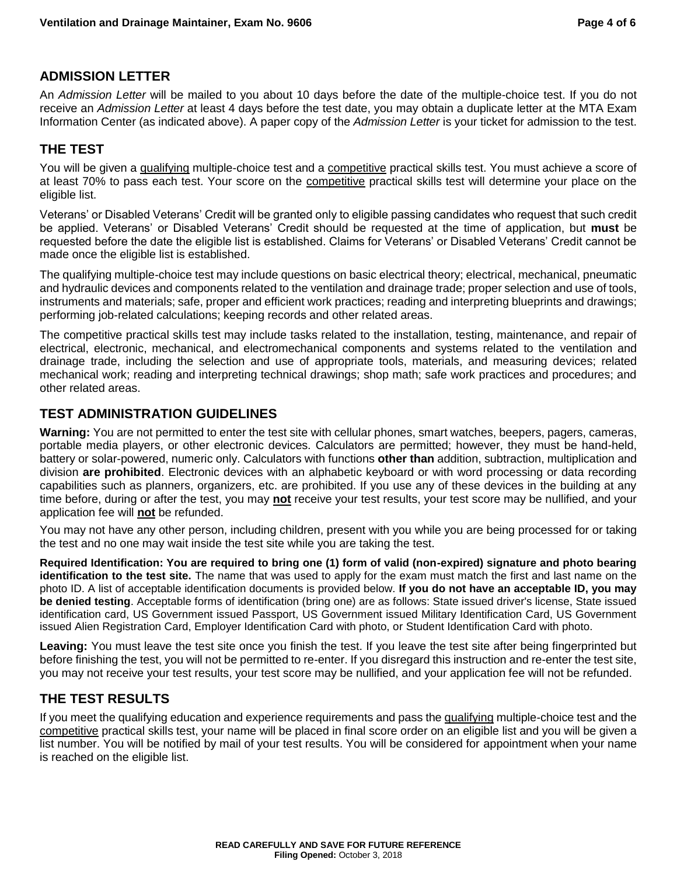## **ADMISSION LETTER**

An *Admission Letter* will be mailed to you about 10 days before the date of the multiple-choice test. If you do not receive an *Admission Letter* at least 4 days before the test date, you may obtain a duplicate letter at the MTA Exam Information Center (as indicated above). A paper copy of the *Admission Letter* is your ticket for admission to the test.

## **THE TEST**

You will be given a qualifying multiple-choice test and a competitive practical skills test. You must achieve a score of at least 70% to pass each test. Your score on the competitive practical skills test will determine your place on the eligible list.

Veterans' or Disabled Veterans' Credit will be granted only to eligible passing candidates who request that such credit be applied. Veterans' or Disabled Veterans' Credit should be requested at the time of application, but **must** be requested before the date the eligible list is established. Claims for Veterans' or Disabled Veterans' Credit cannot be made once the eligible list is established.

The qualifying multiple-choice test may include questions on basic electrical theory; electrical, mechanical, pneumatic and hydraulic devices and components related to the ventilation and drainage trade; proper selection and use of tools, instruments and materials; safe, proper and efficient work practices; reading and interpreting blueprints and drawings; performing job-related calculations; keeping records and other related areas.

The competitive practical skills test may include tasks related to the installation, testing, maintenance, and repair of electrical, electronic, mechanical, and electromechanical components and systems related to the ventilation and drainage trade, including the selection and use of appropriate tools, materials, and measuring devices; related mechanical work; reading and interpreting technical drawings; shop math; safe work practices and procedures; and other related areas.

#### **TEST ADMINISTRATION GUIDELINES**

**Warning:** You are not permitted to enter the test site with cellular phones, smart watches, beepers, pagers, cameras, portable media players, or other electronic devices. Calculators are permitted; however, they must be hand-held, battery or solar-powered, numeric only. Calculators with functions **other than** addition, subtraction, multiplication and division **are prohibited**. Electronic devices with an alphabetic keyboard or with word processing or data recording capabilities such as planners, organizers, etc. are prohibited. If you use any of these devices in the building at any time before, during or after the test, you may **not** receive your test results, your test score may be nullified, and your application fee will **not** be refunded.

You may not have any other person, including children, present with you while you are being processed for or taking the test and no one may wait inside the test site while you are taking the test.

**Required Identification: You are required to bring one (1) form of valid (non-expired) signature and photo bearing identification to the test site.** The name that was used to apply for the exam must match the first and last name on the photo ID. A list of acceptable identification documents is provided below. **If you do not have an acceptable ID, you may be denied testing**. Acceptable forms of identification (bring one) are as follows: State issued driver's license, State issued identification card, US Government issued Passport, US Government issued Military Identification Card, US Government issued Alien Registration Card, Employer Identification Card with photo, or Student Identification Card with photo.

**Leaving:** You must leave the test site once you finish the test. If you leave the test site after being fingerprinted but before finishing the test, you will not be permitted to re-enter. If you disregard this instruction and re-enter the test site, you may not receive your test results, your test score may be nullified, and your application fee will not be refunded.

## **THE TEST RESULTS**

If you meet the qualifying education and experience requirements and pass the qualifying multiple-choice test and the competitive practical skills test, your name will be placed in final score order on an eligible list and you will be given a list number. You will be notified by mail of your test results. You will be considered for appointment when your name is reached on the eligible list.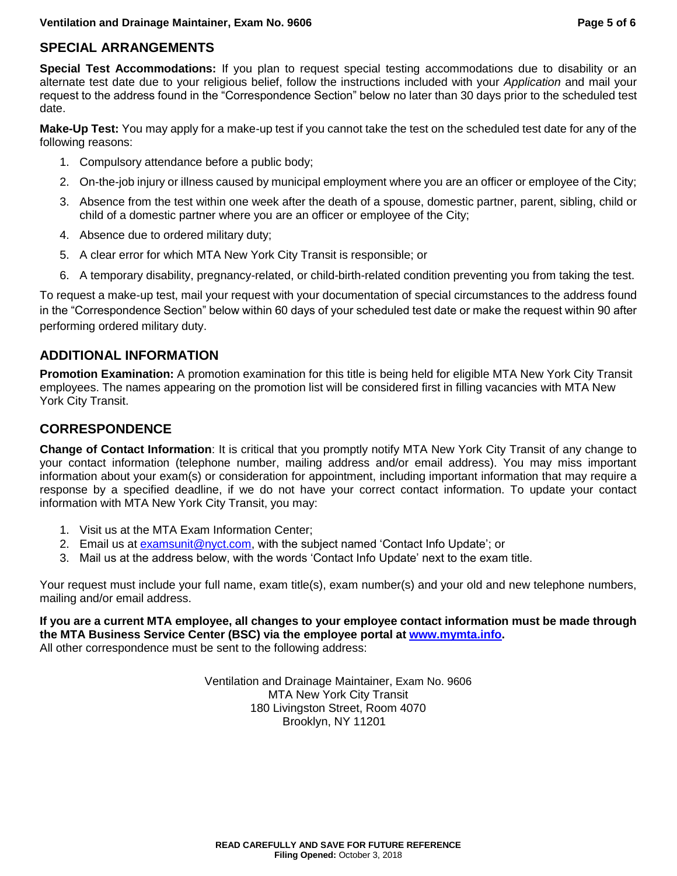## **SPECIAL ARRANGEMENTS**

**Special Test Accommodations:** If you plan to request special testing accommodations due to disability or an alternate test date due to your religious belief, follow the instructions included with your *Application* and mail your request to the address found in the "Correspondence Section" below no later than 30 days prior to the scheduled test date.

**Make-Up Test:** You may apply for a make-up test if you cannot take the test on the scheduled test date for any of the following reasons:

- 1. Compulsory attendance before a public body;
- 2. On-the-job injury or illness caused by municipal employment where you are an officer or employee of the City;
- 3. Absence from the test within one week after the death of a spouse, domestic partner, parent, sibling, child or child of a domestic partner where you are an officer or employee of the City;
- 4. Absence due to ordered military duty;
- 5. A clear error for which MTA New York City Transit is responsible; or
- 6. A temporary disability, pregnancy-related, or child-birth-related condition preventing you from taking the test.

To request a make-up test, mail your request with your documentation of special circumstances to the address found in the "Correspondence Section" below within 60 days of your scheduled test date or make the request within 90 after performing ordered military duty.

## **ADDITIONAL INFORMATION**

**Promotion Examination:** A promotion examination for this title is being held for eligible MTA New York City Transit employees. The names appearing on the promotion list will be considered first in filling vacancies with MTA New York City Transit.

## **CORRESPONDENCE**

**Change of Contact Information**: It is critical that you promptly notify MTA New York City Transit of any change to your contact information (telephone number, mailing address and/or email address). You may miss important information about your exam(s) or consideration for appointment, including important information that may require a response by a specified deadline, if we do not have your correct contact information. To update your contact information with MTA New York City Transit, you may:

- 1. Visit us at the MTA Exam Information Center;
- 2. Email us at [examsunit@nyct.com,](mailto:examsunit@nyct.com) with the subject named 'Contact Info Update'; or
- 3. Mail us at the address below, with the words 'Contact Info Update' next to the exam title.

Your request must include your full name, exam title(s), exam number(s) and your old and new telephone numbers, mailing and/or email address.

**If you are a current MTA employee, all changes to your employee contact information must be made through the MTA Business Service Center (BSC) via the employee portal at [www.mymta.info.](http://www.mymta.info/)**  All other correspondence must be sent to the following address:

> Ventilation and Drainage Maintainer, Exam No. 9606 MTA New York City Transit 180 Livingston Street, Room 4070 Brooklyn, NY 11201